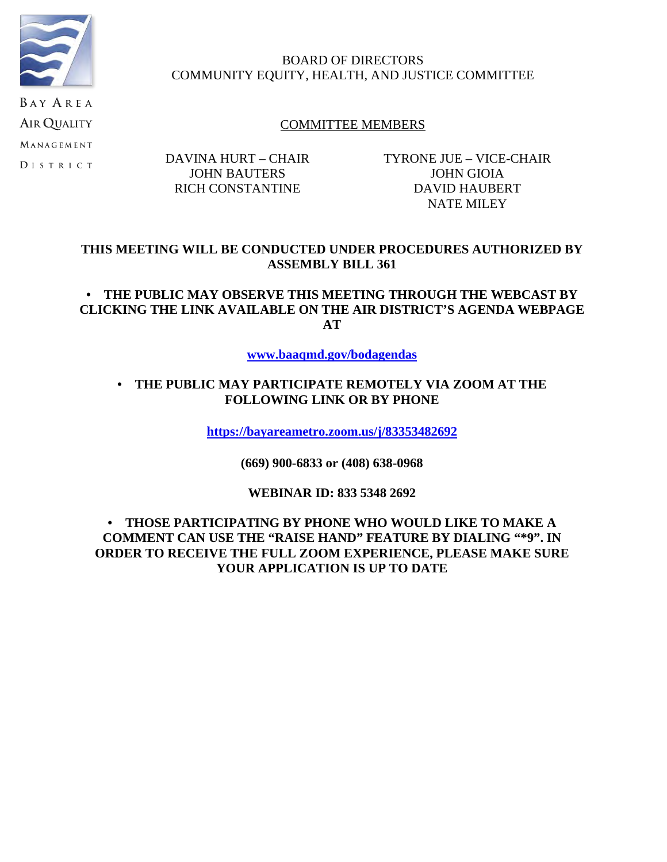

MANAGEMENT **DISTRICT** 

# BOARD OF DIRECTORS COMMUNITY EQUITY, HEALTH, AND JUSTICE COMMITTEE

# COMMITTEE MEMBERS

DAVINA HURT – CHAIR JOHN BAUTERS RICH CONSTANTINE

TYRONE JUE – VICE-CHAIR JOHN GIOIA DAVID HAUBERT NATE MILEY

#### **THIS MEETING WILL BE CONDUCTED UNDER PROCEDURES AUTHORIZED BY ASSEMBLY BILL 361**

# **• THE PUBLIC MAY OBSERVE THIS MEETING THROUGH THE WEBCAST BY CLICKING THE LINK AVAILABLE ON THE AIR DISTRICT'S AGENDA WEBPAGE AT**

#### **www.baaqmd.gov/bodagendas**

#### **• THE PUBLIC MAY PARTICIPATE REMOTELY VIA ZOOM AT THE FOLLOWING LINK OR BY PHONE**

**https://bayareametro.zoom.us/j/83353482692**

**(669) 900-6833 or (408) 638-0968**

**WEBINAR ID: 833 5348 2692**

**• THOSE PARTICIPATING BY PHONE WHO WOULD LIKE TO MAKE A COMMENT CAN USE THE "RAISE HAND" FEATURE BY DIALING "\*9". IN ORDER TO RECEIVE THE FULL ZOOM EXPERIENCE, PLEASE MAKE SURE YOUR APPLICATION IS UP TO DATE**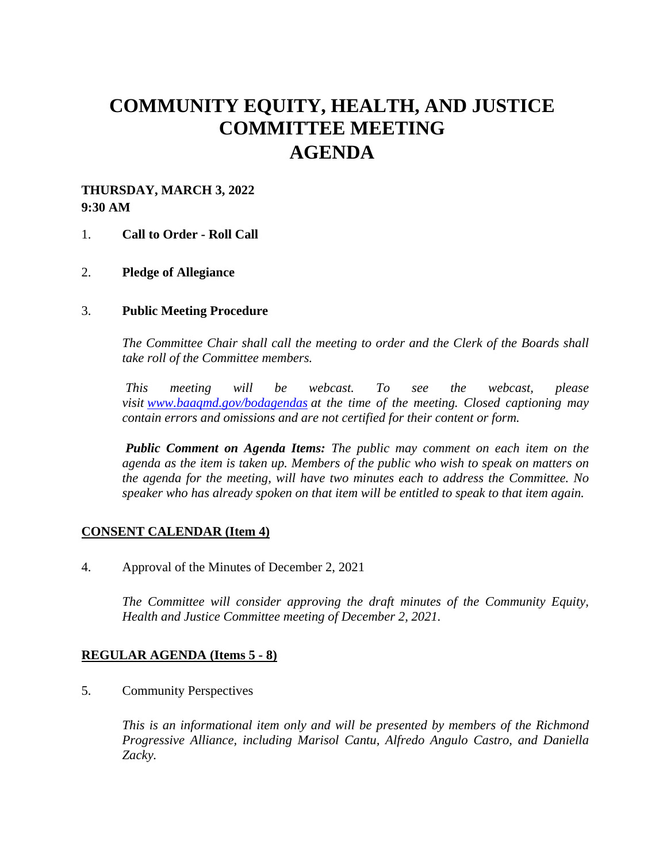# **COMMUNITY EQUITY, HEALTH, AND JUSTICE COMMITTEE MEETING AGENDA**

# **THURSDAY, MARCH 3, 2022 9:30 AM**

#### 1. **Call to Order - Roll Call**

2. **Pledge of Allegiance**

#### 3. **Public Meeting Procedure**

*The Committee Chair shall call the meeting to order and the Clerk of the Boards shall take roll of the Committee members.* 

 *This meeting will be webcast. To see the webcast, please visit www.baaqmd.gov/bodagendas at the time of the meeting. Closed captioning may contain errors and omissions and are not certified for their content or form.* 

*Public Comment on Agenda Items: The public may comment on each item on the agenda as the item is taken up. Members of the public who wish to speak on matters on the agenda for the meeting, will have two minutes each to address the Committee. No speaker who has already spoken on that item will be entitled to speak to that item again.*

#### **CONSENT CALENDAR (Item 4)**

4. Approval of the Minutes of December 2, 2021

*The Committee will consider approving the draft minutes of the Community Equity, Health and Justice Committee meeting of December 2, 2021.* 

#### **REGULAR AGENDA (Items 5 - 8)**

5. Community Perspectives

*This is an informational item only and will be presented by members of the Richmond Progressive Alliance, including Marisol Cantu, Alfredo Angulo Castro, and Daniella Zacky.*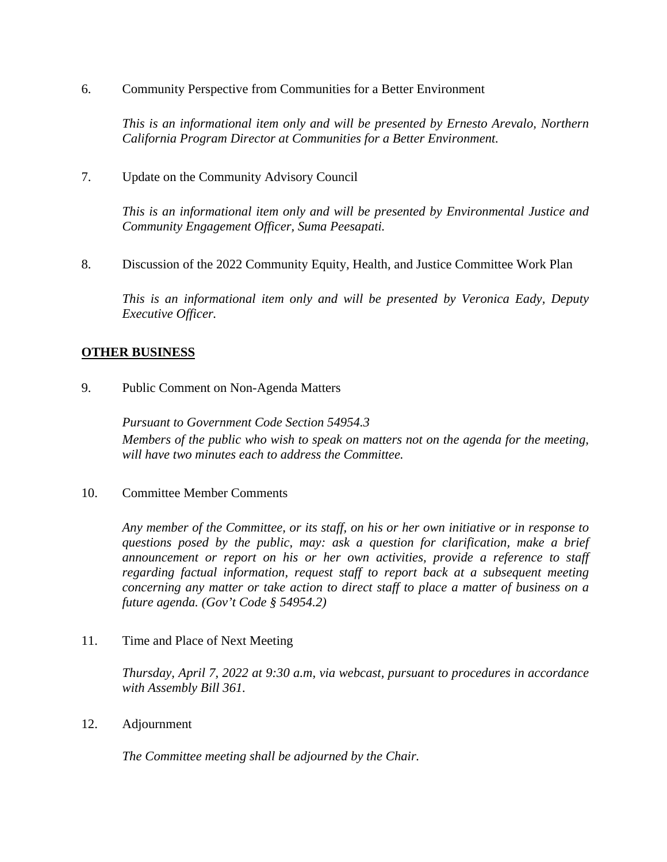6. Community Perspective from Communities for a Better Environment

*This is an informational item only and will be presented by Ernesto Arevalo, Northern California Program Director at Communities for a Better Environment.* 

7. Update on the Community Advisory Council

*This is an informational item only and will be presented by Environmental Justice and Community Engagement Officer, Suma Peesapati.* 

8. Discussion of the 2022 Community Equity, Health, and Justice Committee Work Plan

*This is an informational item only and will be presented by Veronica Eady, Deputy Executive Officer.* 

#### **OTHER BUSINESS**

9. Public Comment on Non-Agenda Matters

*Pursuant to Government Code Section 54954.3 Members of the public who wish to speak on matters not on the agenda for the meeting, will have two minutes each to address the Committee.*

10. Committee Member Comments

*Any member of the Committee, or its staff, on his or her own initiative or in response to questions posed by the public, may: ask a question for clarification, make a brief announcement or report on his or her own activities, provide a reference to staff regarding factual information, request staff to report back at a subsequent meeting concerning any matter or take action to direct staff to place a matter of business on a future agenda. (Gov't Code § 54954.2)*

11. Time and Place of Next Meeting

*Thursday, April 7, 2022 at 9:30 a.m, via webcast, pursuant to procedures in accordance with Assembly Bill 361.* 

12. Adjournment

*The Committee meeting shall be adjourned by the Chair.*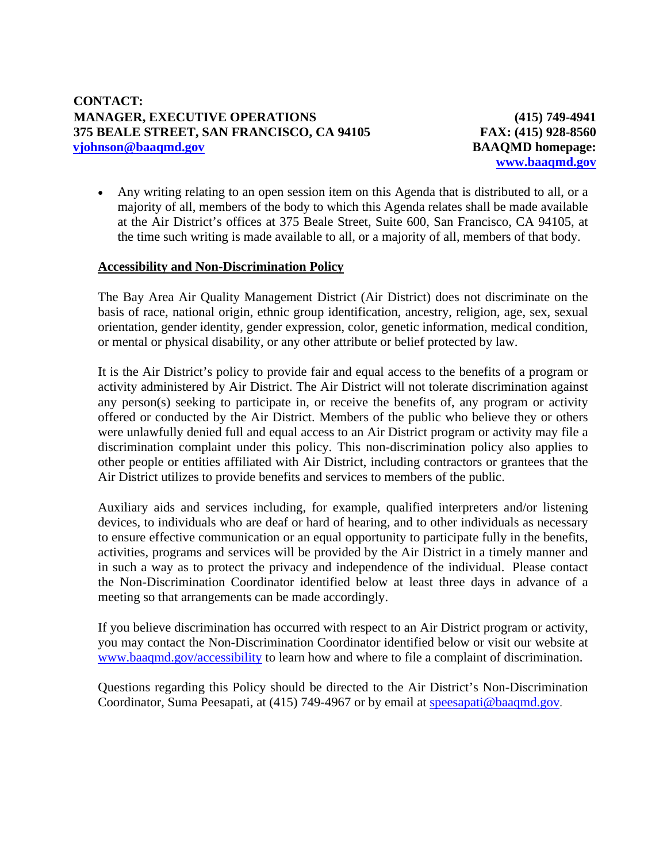**(415) 749-4941 FAX: (415) 928-8560 BAAQMD homepage: www.baaqmd.gov**

 Any writing relating to an open session item on this Agenda that is distributed to all, or a majority of all, members of the body to which this Agenda relates shall be made available at the Air District's offices at 375 Beale Street, Suite 600, San Francisco, CA 94105, at the time such writing is made available to all, or a majority of all, members of that body.

#### **Accessibility and Non-Discrimination Policy**

The Bay Area Air Quality Management District (Air District) does not discriminate on the basis of race, national origin, ethnic group identification, ancestry, religion, age, sex, sexual orientation, gender identity, gender expression, color, genetic information, medical condition, or mental or physical disability, or any other attribute or belief protected by law.

It is the Air District's policy to provide fair and equal access to the benefits of a program or activity administered by Air District. The Air District will not tolerate discrimination against any person(s) seeking to participate in, or receive the benefits of, any program or activity offered or conducted by the Air District. Members of the public who believe they or others were unlawfully denied full and equal access to an Air District program or activity may file a discrimination complaint under this policy. This non-discrimination policy also applies to other people or entities affiliated with Air District, including contractors or grantees that the Air District utilizes to provide benefits and services to members of the public.

Auxiliary aids and services including, for example, qualified interpreters and/or listening devices, to individuals who are deaf or hard of hearing, and to other individuals as necessary to ensure effective communication or an equal opportunity to participate fully in the benefits, activities, programs and services will be provided by the Air District in a timely manner and in such a way as to protect the privacy and independence of the individual. Please contact the Non-Discrimination Coordinator identified below at least three days in advance of a meeting so that arrangements can be made accordingly.

If you believe discrimination has occurred with respect to an Air District program or activity, you may contact the Non-Discrimination Coordinator identified below or visit our website at www.baaqmd.gov/accessibility to learn how and where to file a complaint of discrimination.

Questions regarding this Policy should be directed to the Air District's Non-Discrimination Coordinator, Suma Peesapati, at (415) 749-4967 or by email at speesapati@baaqmd.gov.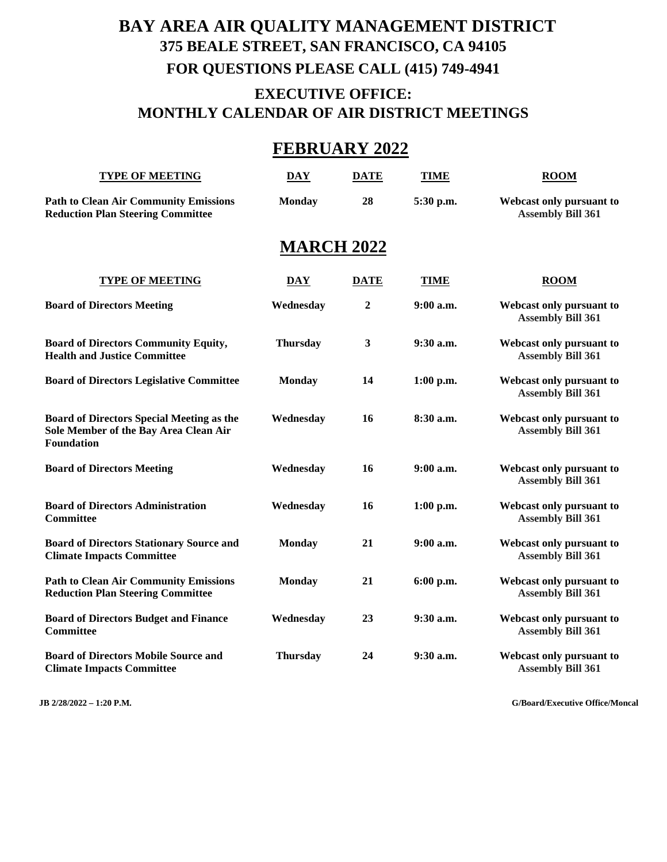# **BAY AREA AIR QUALITY MANAGEMENT DISTRICT 375 BEALE STREET, SAN FRANCISCO, CA 94105 FOR QUESTIONS PLEASE CALL (415) 749-4941 EXECUTIVE OFFICE: MONTHLY CALENDAR OF AIR DISTRICT MEETINGS**

# **FEBRUARY 2022**

| <b>TYPE OF MEETING</b>                                                                                         | <b>DAY</b>        | <b>DATE</b>    | <b>TIME</b> | <b>ROOM</b>                                          |
|----------------------------------------------------------------------------------------------------------------|-------------------|----------------|-------------|------------------------------------------------------|
| <b>Path to Clean Air Community Emissions</b><br><b>Reduction Plan Steering Committee</b>                       | <b>Monday</b>     | 28             | 5:30 p.m.   | Webcast only pursuant to<br><b>Assembly Bill 361</b> |
|                                                                                                                | <b>MARCH 2022</b> |                |             |                                                      |
| <b>TYPE OF MEETING</b>                                                                                         | <b>DAY</b>        | <b>DATE</b>    | <b>TIME</b> | <b>ROOM</b>                                          |
| <b>Board of Directors Meeting</b>                                                                              | Wednesday         | $\overline{2}$ | 9:00 a.m.   | Webcast only pursuant to<br><b>Assembly Bill 361</b> |
| <b>Board of Directors Community Equity,</b><br><b>Health and Justice Committee</b>                             | <b>Thursday</b>   | $\mathbf{3}$   | 9:30 a.m.   | Webcast only pursuant to<br><b>Assembly Bill 361</b> |
| <b>Board of Directors Legislative Committee</b>                                                                | <b>Monday</b>     | 14             | $1:00$ p.m. | Webcast only pursuant to<br><b>Assembly Bill 361</b> |
| <b>Board of Directors Special Meeting as the</b><br>Sole Member of the Bay Area Clean Air<br><b>Foundation</b> | Wednesday         | 16             | 8:30 a.m.   | Webcast only pursuant to<br><b>Assembly Bill 361</b> |
| <b>Board of Directors Meeting</b>                                                                              | Wednesday         | 16             | $9:00$ a.m. | Webcast only pursuant to<br><b>Assembly Bill 361</b> |
| <b>Board of Directors Administration</b><br><b>Committee</b>                                                   | Wednesday         | 16             | $1:00$ p.m. | Webcast only pursuant to<br><b>Assembly Bill 361</b> |
| <b>Board of Directors Stationary Source and</b><br><b>Climate Impacts Committee</b>                            | <b>Monday</b>     | 21             | 9:00 a.m.   | Webcast only pursuant to<br><b>Assembly Bill 361</b> |
| <b>Path to Clean Air Community Emissions</b><br><b>Reduction Plan Steering Committee</b>                       | <b>Monday</b>     | 21             | 6:00 p.m.   | Webcast only pursuant to<br><b>Assembly Bill 361</b> |
| <b>Board of Directors Budget and Finance</b><br><b>Committee</b>                                               | Wednesday         | 23             | 9:30 a.m.   | Webcast only pursuant to<br><b>Assembly Bill 361</b> |
| <b>Board of Directors Mobile Source and</b><br><b>Climate Impacts Committee</b>                                | <b>Thursday</b>   | 24             | 9:30 a.m.   | Webcast only pursuant to<br><b>Assembly Bill 361</b> |

**JB 2/28/2022 – 1:20 P.M. G/Board/Executive Office/Moncal**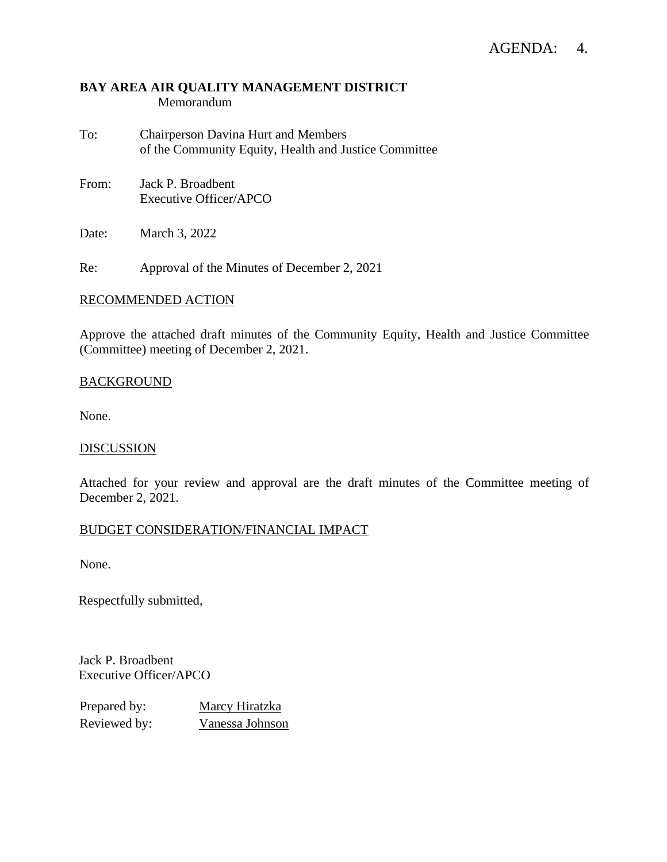#### **BAY AREA AIR QUALITY MANAGEMENT DISTRICT** Memorandum

- To: Chairperson Davina Hurt and Members of the Community Equity, Health and Justice Committee
- From: Jack P. Broadbent Executive Officer/APCO

Date: March 3, 2022

Re: Approval of the Minutes of December 2, 2021

#### RECOMMENDED ACTION

Approve the attached draft minutes of the Community Equity, Health and Justice Committee (Committee) meeting of December 2, 2021.

#### **BACKGROUND**

None.

#### **DISCUSSION**

Attached for your review and approval are the draft minutes of the Committee meeting of December 2, 2021.

#### BUDGET CONSIDERATION/FINANCIAL IMPACT

None.

Respectfully submitted,

Jack P. Broadbent Executive Officer/APCO

| Prepared by: | Marcy Hiratzka  |
|--------------|-----------------|
| Reviewed by: | Vanessa Johnson |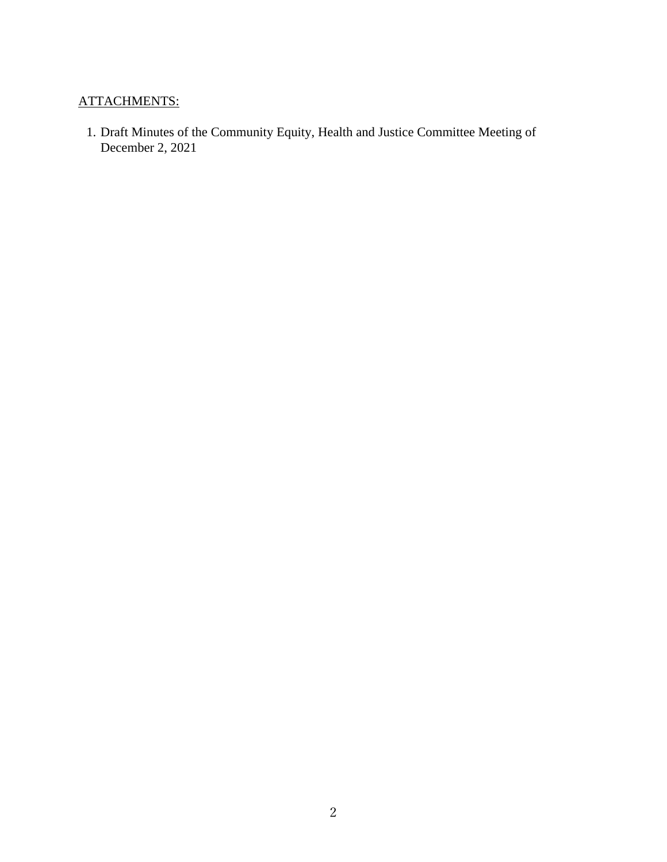# ATTACHMENTS:

1. Draft Minutes of the Community Equity, Health and Justice Committee Meeting of December 2, 2021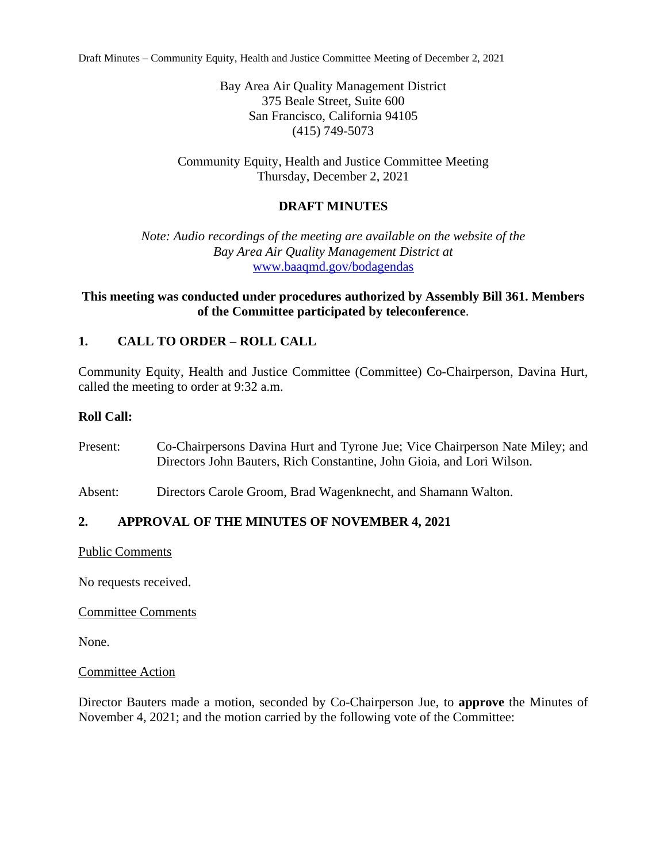Draft Minutes – Community Equity, Health and Justice Committee Meeting of December 2, 2021

Bay Area Air Quality Management District 375 Beale Street, Suite 600 San Francisco, California 94105 (415) 749-5073

Community Equity, Health and Justice Committee Meeting Thursday, December 2, 2021

# **DRAFT MINUTES**

*Note: Audio recordings of the meeting are available on the website of the Bay Area Air Quality Management District at*  www.baaqmd.gov/bodagendas

# **This meeting was conducted under procedures authorized by Assembly Bill 361. Members of the Committee participated by teleconference**.

# **1. CALL TO ORDER – ROLL CALL**

Community Equity, Health and Justice Committee (Committee) Co-Chairperson, Davina Hurt, called the meeting to order at 9:32 a.m.

# **Roll Call:**

- Present: Co-Chairpersons Davina Hurt and Tyrone Jue; Vice Chairperson Nate Miley; and Directors John Bauters, Rich Constantine, John Gioia, and Lori Wilson.
- Absent: Directors Carole Groom, Brad Wagenknecht, and Shamann Walton.

# **2. APPROVAL OF THE MINUTES OF NOVEMBER 4, 2021**

Public Comments

No requests received.

Committee Comments

None.

#### Committee Action

Director Bauters made a motion, seconded by Co-Chairperson Jue, to **approve** the Minutes of November 4, 2021; and the motion carried by the following vote of the Committee: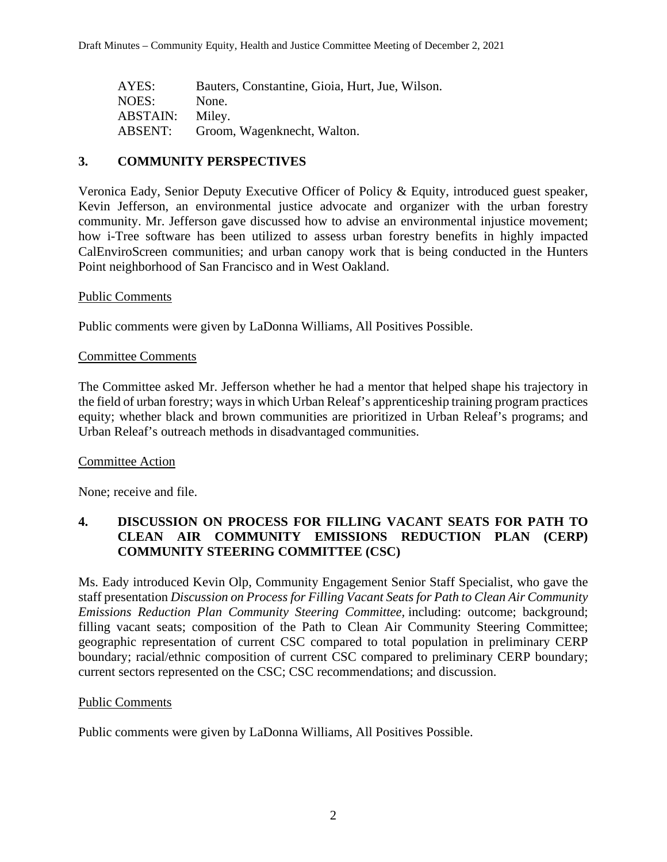| AYES:           | Bauters, Constantine, Gioia, Hurt, Jue, Wilson. |
|-----------------|-------------------------------------------------|
| NOES:           | None.                                           |
| <b>ABSTAIN:</b> | Miley.                                          |
| ABSENT:         | Groom, Wagenknecht, Walton.                     |

#### **3. COMMUNITY PERSPECTIVES**

Veronica Eady, Senior Deputy Executive Officer of Policy & Equity, introduced guest speaker, Kevin Jefferson, an environmental justice advocate and organizer with the urban forestry community. Mr. Jefferson gave discussed how to advise an environmental injustice movement; how i-Tree software has been utilized to assess urban forestry benefits in highly impacted CalEnviroScreen communities; and urban canopy work that is being conducted in the Hunters Point neighborhood of San Francisco and in West Oakland.

#### Public Comments

Public comments were given by LaDonna Williams, All Positives Possible.

#### Committee Comments

The Committee asked Mr. Jefferson whether he had a mentor that helped shape his trajectory in the field of urban forestry; ways in which Urban Releaf's apprenticeship training program practices equity; whether black and brown communities are prioritized in Urban Releaf's programs; and Urban Releaf's outreach methods in disadvantaged communities.

#### Committee Action

None; receive and file.

#### **4. DISCUSSION ON PROCESS FOR FILLING VACANT SEATS FOR PATH TO CLEAN AIR COMMUNITY EMISSIONS REDUCTION PLAN (CERP) COMMUNITY STEERING COMMITTEE (CSC)**

Ms. Eady introduced Kevin Olp, Community Engagement Senior Staff Specialist, who gave the staff presentation *Discussion on Process for Filling Vacant Seats for Path to Clean Air Community Emissions Reduction Plan Community Steering Committee,* including: outcome; background; filling vacant seats; composition of the Path to Clean Air Community Steering Committee; geographic representation of current CSC compared to total population in preliminary CERP boundary; racial/ethnic composition of current CSC compared to preliminary CERP boundary; current sectors represented on the CSC; CSC recommendations; and discussion.

#### Public Comments

Public comments were given by LaDonna Williams, All Positives Possible.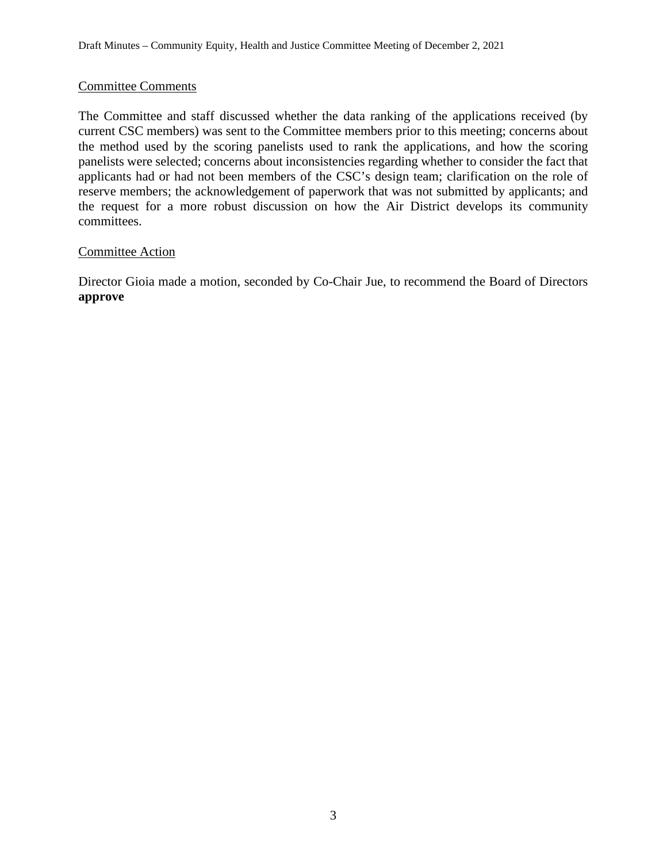#### Committee Comments

The Committee and staff discussed whether the data ranking of the applications received (by current CSC members) was sent to the Committee members prior to this meeting; concerns about the method used by the scoring panelists used to rank the applications, and how the scoring panelists were selected; concerns about inconsistencies regarding whether to consider the fact that applicants had or had not been members of the CSC's design team; clarification on the role of reserve members; the acknowledgement of paperwork that was not submitted by applicants; and the request for a more robust discussion on how the Air District develops its community committees.

#### Committee Action

Director Gioia made a motion, seconded by Co-Chair Jue, to recommend the Board of Directors **approve**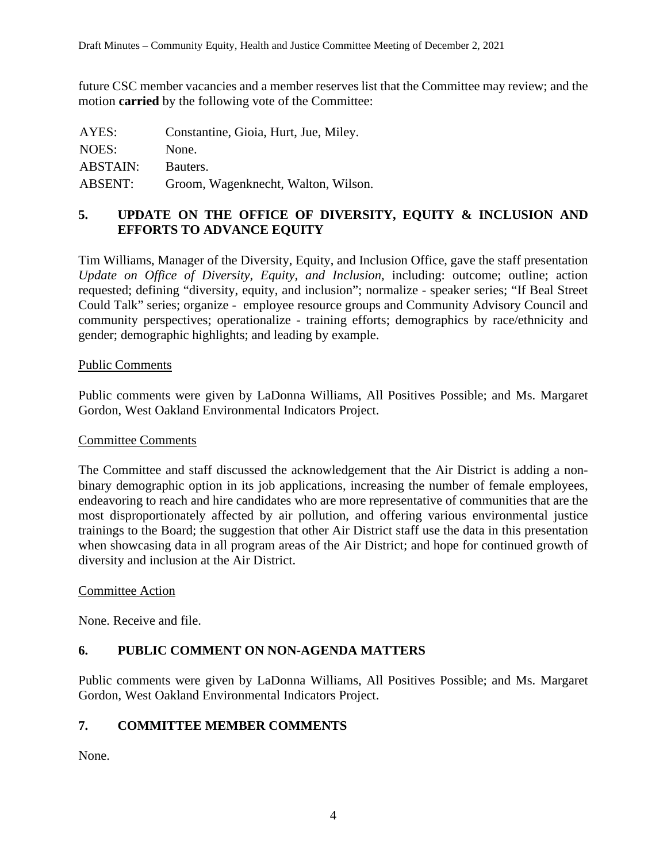future CSC member vacancies and a member reserves list that the Committee may review; and the motion **carried** by the following vote of the Committee:

| AYES:           | Constantine, Gioia, Hurt, Jue, Miley. |
|-----------------|---------------------------------------|
| NOES:           | None.                                 |
| <b>ABSTAIN:</b> | Bauters.                              |
| <b>ABSENT:</b>  | Groom, Wagenknecht, Walton, Wilson.   |

# **5. UPDATE ON THE OFFICE OF DIVERSITY, EQUITY & INCLUSION AND EFFORTS TO ADVANCE EQUITY**

Tim Williams, Manager of the Diversity, Equity, and Inclusion Office, gave the staff presentation *Update on Office of Diversity, Equity, and Inclusion,* including: outcome; outline; action requested; defining "diversity, equity, and inclusion"; normalize - speaker series; "If Beal Street Could Talk" series; organize - employee resource groups and Community Advisory Council and community perspectives; operationalize - training efforts; demographics by race/ethnicity and gender; demographic highlights; and leading by example.

#### Public Comments

Public comments were given by LaDonna Williams, All Positives Possible; and Ms. Margaret Gordon, West Oakland Environmental Indicators Project.

#### Committee Comments

The Committee and staff discussed the acknowledgement that the Air District is adding a nonbinary demographic option in its job applications, increasing the number of female employees, endeavoring to reach and hire candidates who are more representative of communities that are the most disproportionately affected by air pollution, and offering various environmental justice trainings to the Board; the suggestion that other Air District staff use the data in this presentation when showcasing data in all program areas of the Air District; and hope for continued growth of diversity and inclusion at the Air District.

#### Committee Action

None. Receive and file.

# **6. PUBLIC COMMENT ON NON-AGENDA MATTERS**

Public comments were given by LaDonna Williams, All Positives Possible; and Ms. Margaret Gordon, West Oakland Environmental Indicators Project.

#### **7. COMMITTEE MEMBER COMMENTS**

None.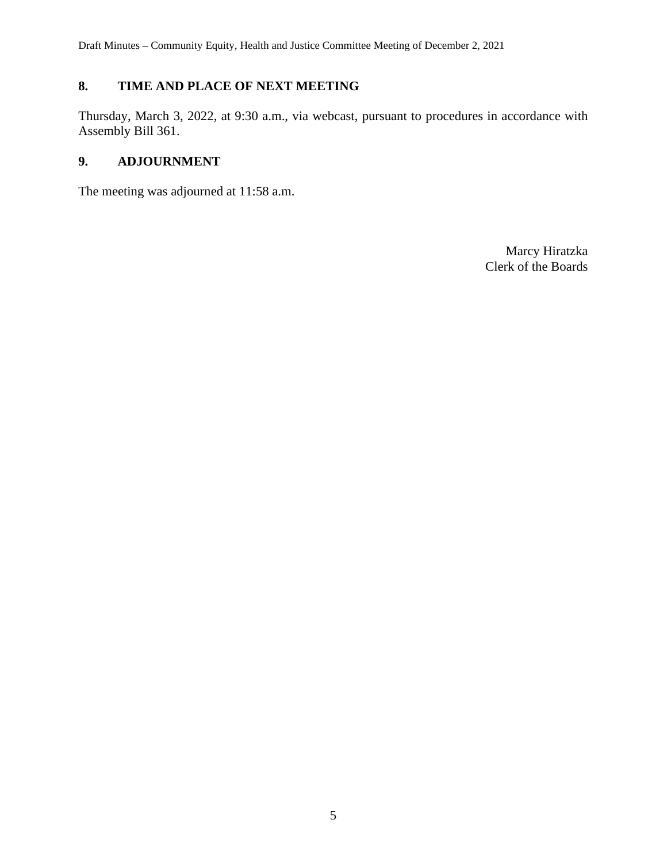# **8. TIME AND PLACE OF NEXT MEETING**

Thursday, March 3, 2022, at 9:30 a.m., via webcast, pursuant to procedures in accordance with Assembly Bill 361.

# **9. ADJOURNMENT**

The meeting was adjourned at 11:58 a.m.

Marcy Hiratzka Clerk of the Boards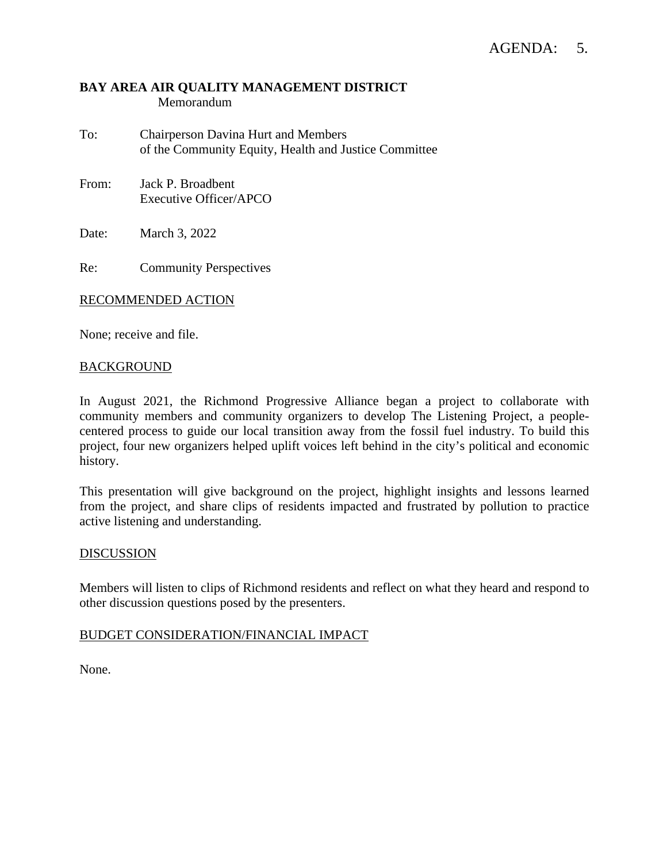#### **BAY AREA AIR QUALITY MANAGEMENT DISTRICT** Memorandum

- To: Chairperson Davina Hurt and Members of the Community Equity, Health and Justice Committee
- From: Jack P. Broadbent Executive Officer/APCO

Date: March 3, 2022

Re: Community Perspectives

#### RECOMMENDED ACTION

None; receive and file.

#### BACKGROUND

In August 2021, the Richmond Progressive Alliance began a project to collaborate with community members and community organizers to develop The Listening Project, a peoplecentered process to guide our local transition away from the fossil fuel industry. To build this project, four new organizers helped uplift voices left behind in the city's political and economic history.

This presentation will give background on the project, highlight insights and lessons learned from the project, and share clips of residents impacted and frustrated by pollution to practice active listening and understanding.

#### DISCUSSION

Members will listen to clips of Richmond residents and reflect on what they heard and respond to other discussion questions posed by the presenters.

#### BUDGET CONSIDERATION/FINANCIAL IMPACT

None.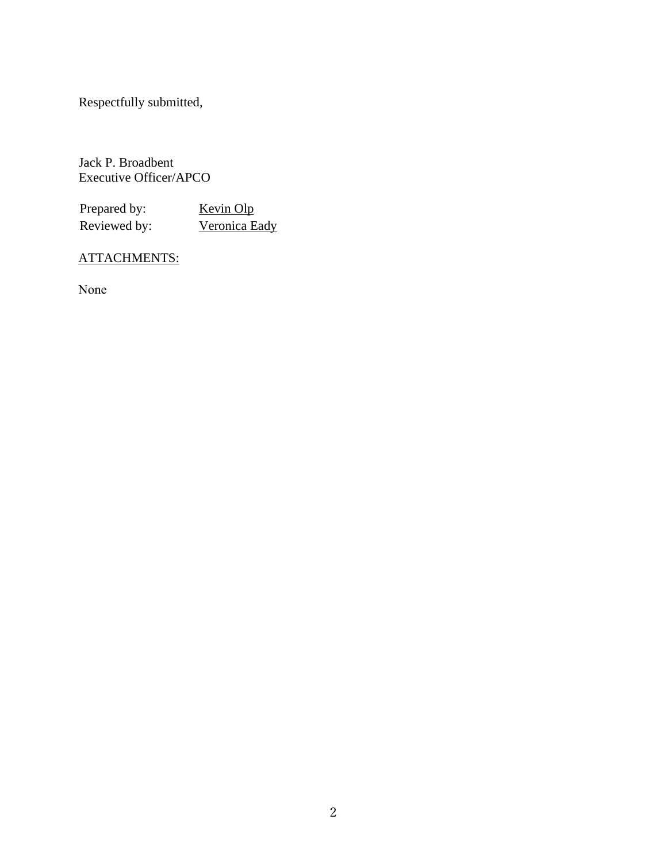Respectfully submitted,

Jack P. Broadbent Executive Officer/APCO

Prepared by: Kevin Olp Reviewed by: Veronica Eady

# ATTACHMENTS:

None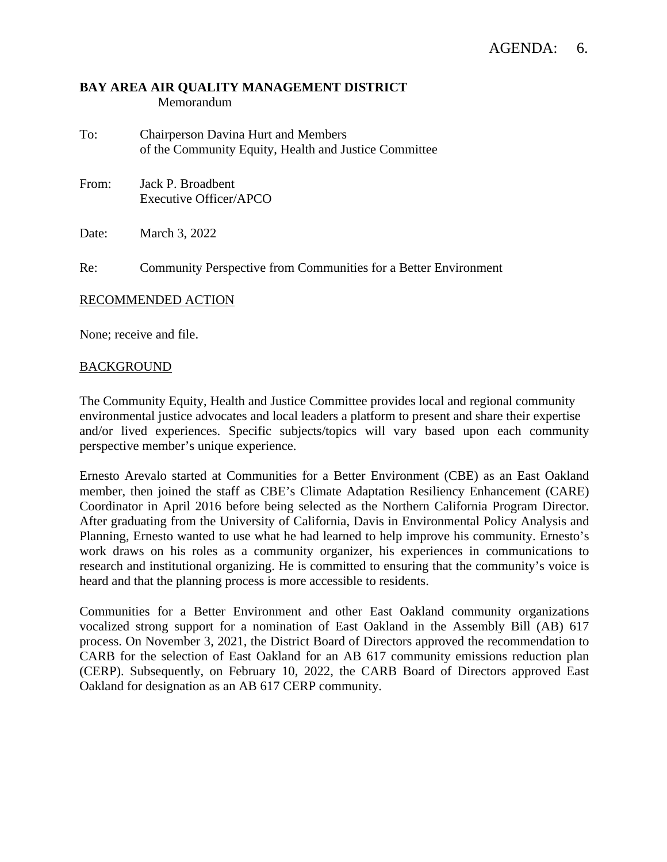#### **BAY AREA AIR QUALITY MANAGEMENT DISTRICT** Memorandum

- To: Chairperson Davina Hurt and Members of the Community Equity, Health and Justice Committee
- From: Jack P. Broadbent Executive Officer/APCO

Date: March 3, 2022

Re: Community Perspective from Communities for a Better Environment

#### RECOMMENDED ACTION

None; receive and file.

#### BACKGROUND

The Community Equity, Health and Justice Committee provides local and regional community environmental justice advocates and local leaders a platform to present and share their expertise and/or lived experiences. Specific subjects/topics will vary based upon each community perspective member's unique experience.

Ernesto Arevalo started at Communities for a Better Environment (CBE) as an East Oakland member, then joined the staff as CBE's Climate Adaptation Resiliency Enhancement (CARE) Coordinator in April 2016 before being selected as the Northern California Program Director. After graduating from the University of California, Davis in Environmental Policy Analysis and Planning, Ernesto wanted to use what he had learned to help improve his community. Ernesto's work draws on his roles as a community organizer, his experiences in communications to research and institutional organizing. He is committed to ensuring that the community's voice is heard and that the planning process is more accessible to residents.

Communities for a Better Environment and other East Oakland community organizations vocalized strong support for a nomination of East Oakland in the Assembly Bill (AB) 617 process. On November 3, 2021, the District Board of Directors approved the recommendation to CARB for the selection of East Oakland for an AB 617 community emissions reduction plan (CERP). Subsequently, on February 10, 2022, the CARB Board of Directors approved East Oakland for designation as an AB 617 CERP community.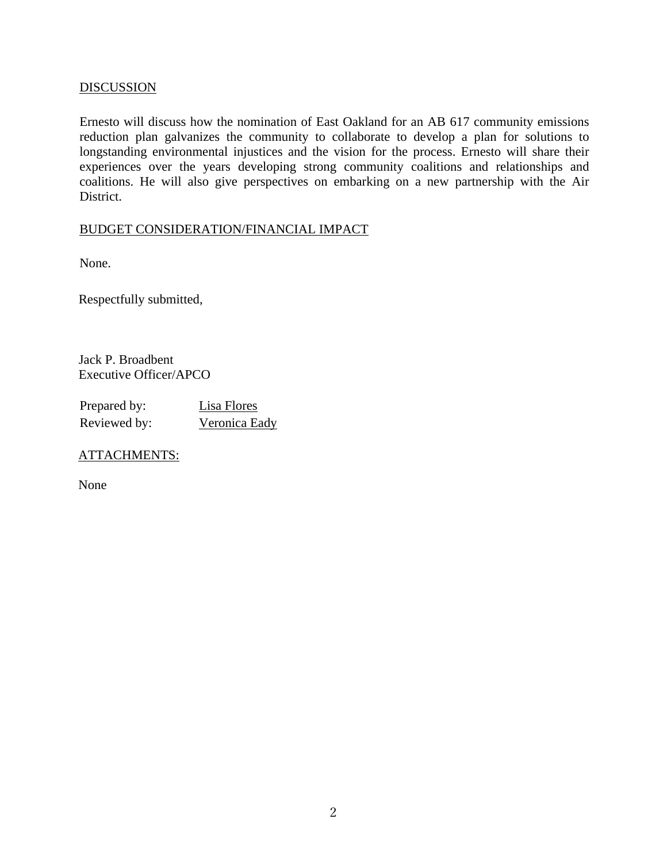#### **DISCUSSION**

Ernesto will discuss how the nomination of East Oakland for an AB 617 community emissions reduction plan galvanizes the community to collaborate to develop a plan for solutions to longstanding environmental injustices and the vision for the process. Ernesto will share their experiences over the years developing strong community coalitions and relationships and coalitions. He will also give perspectives on embarking on a new partnership with the Air District.

#### BUDGET CONSIDERATION/FINANCIAL IMPACT

None.

Respectfully submitted,

Jack P. Broadbent Executive Officer/APCO

| Prepared by: | Lisa Flores   |
|--------------|---------------|
| Reviewed by: | Veronica Eady |

#### ATTACHMENTS:

None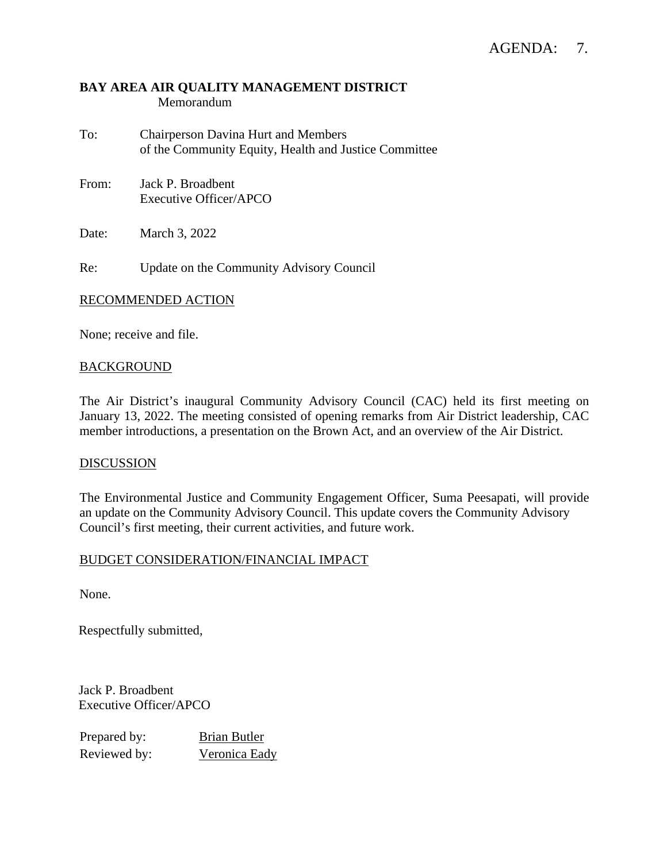#### **BAY AREA AIR QUALITY MANAGEMENT DISTRICT** Memorandum

- To: Chairperson Davina Hurt and Members of the Community Equity, Health and Justice Committee
- From: Jack P. Broadbent Executive Officer/APCO

Date: March 3, 2022

Re: Update on the Community Advisory Council

#### RECOMMENDED ACTION

None; receive and file.

#### BACKGROUND

The Air District's inaugural Community Advisory Council (CAC) held its first meeting on January 13, 2022. The meeting consisted of opening remarks from Air District leadership, CAC member introductions, a presentation on the Brown Act, and an overview of the Air District.

#### **DISCUSSION**

The Environmental Justice and Community Engagement Officer, Suma Peesapati, will provide an update on the Community Advisory Council. This update covers the Community Advisory Council's first meeting, their current activities, and future work.

#### BUDGET CONSIDERATION/FINANCIAL IMPACT

None.

Respectfully submitted,

Jack P. Broadbent Executive Officer/APCO

Prepared by: Brian Butler Reviewed by: Veronica Eady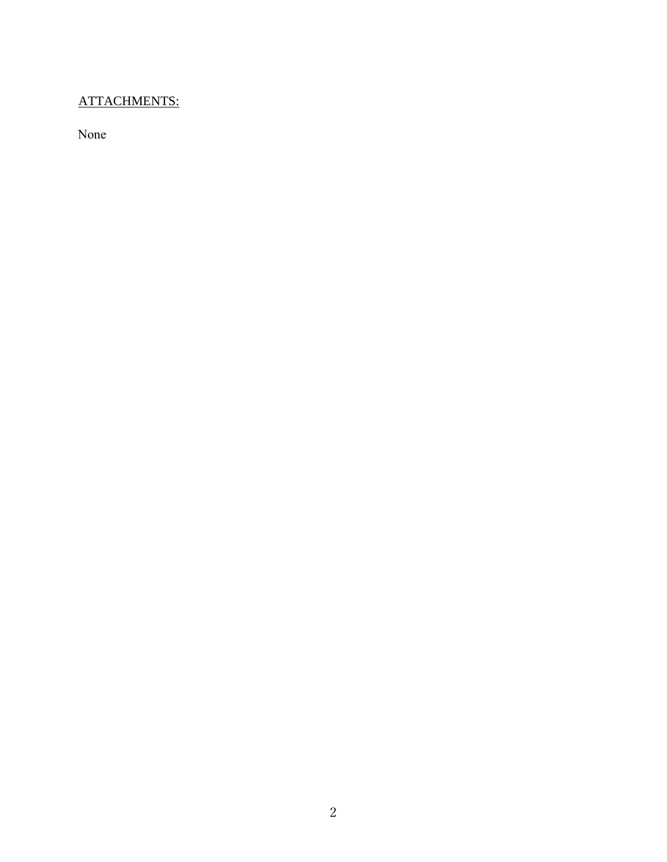# ATTACHMENTS:

None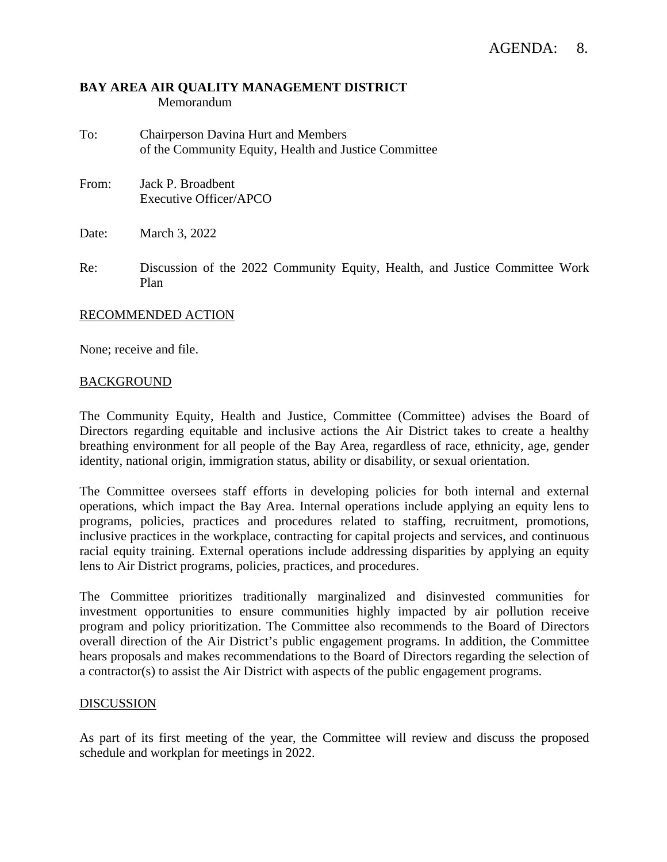#### **BAY AREA AIR QUALITY MANAGEMENT DISTRICT** Memorandum

- To: Chairperson Davina Hurt and Members of the Community Equity, Health and Justice Committee
- From: Jack P. Broadbent Executive Officer/APCO

Date: March 3, 2022

Re: Discussion of the 2022 Community Equity, Health, and Justice Committee Work Plan

#### RECOMMENDED ACTION

None; receive and file.

#### BACKGROUND

The Community Equity, Health and Justice, Committee (Committee) advises the Board of Directors regarding equitable and inclusive actions the Air District takes to create a healthy breathing environment for all people of the Bay Area, regardless of race, ethnicity, age, gender identity, national origin, immigration status, ability or disability, or sexual orientation.

The Committee oversees staff efforts in developing policies for both internal and external operations, which impact the Bay Area. Internal operations include applying an equity lens to programs, policies, practices and procedures related to staffing, recruitment, promotions, inclusive practices in the workplace, contracting for capital projects and services, and continuous racial equity training. External operations include addressing disparities by applying an equity lens to Air District programs, policies, practices, and procedures.

The Committee prioritizes traditionally marginalized and disinvested communities for investment opportunities to ensure communities highly impacted by air pollution receive program and policy prioritization. The Committee also recommends to the Board of Directors overall direction of the Air District's public engagement programs. In addition, the Committee hears proposals and makes recommendations to the Board of Directors regarding the selection of a contractor(s) to assist the Air District with aspects of the public engagement programs.

#### DISCUSSION

As part of its first meeting of the year, the Committee will review and discuss the proposed schedule and workplan for meetings in 2022.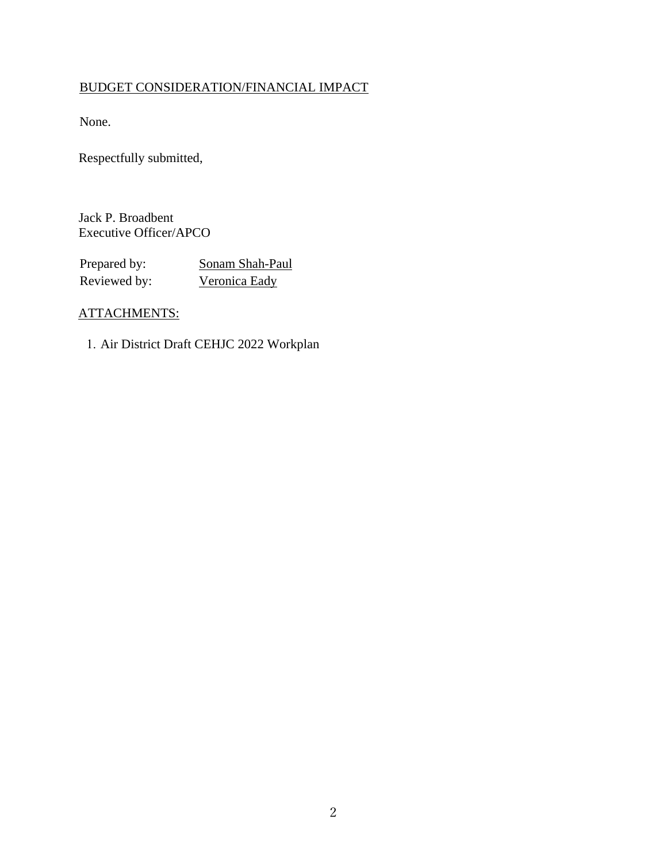# BUDGET CONSIDERATION/FINANCIAL IMPACT

None.

Respectfully submitted,

Jack P. Broadbent Executive Officer/APCO

Prepared by: Sonam Shah-Paul Reviewed by: Veronica Eady

# ATTACHMENTS:

1. Air District Draft CEHJC 2022 Workplan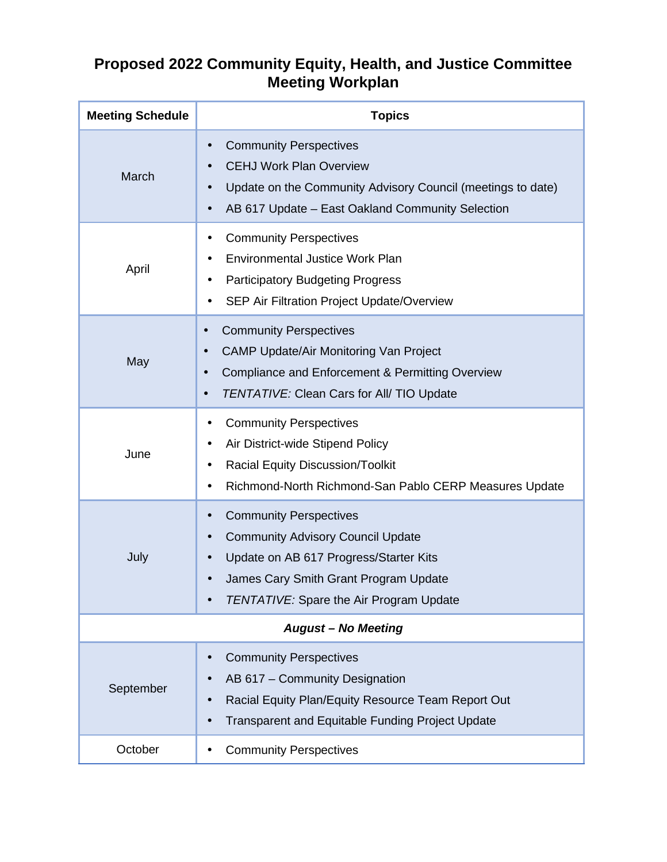# **Proposed 2022 Community Equity, Health, and Justice Committee Meeting Workplan**

| <b>Meeting Schedule</b>    | <b>Topics</b>                                                                                                                                                                                                                         |  |
|----------------------------|---------------------------------------------------------------------------------------------------------------------------------------------------------------------------------------------------------------------------------------|--|
| March                      | <b>Community Perspectives</b><br>٠<br><b>CEHJ Work Plan Overview</b><br>Update on the Community Advisory Council (meetings to date)<br>AB 617 Update - East Oakland Community Selection                                               |  |
| April                      | <b>Community Perspectives</b><br><b>Environmental Justice Work Plan</b><br><b>Participatory Budgeting Progress</b><br>SEP Air Filtration Project Update/Overview<br>$\blacksquare$                                                    |  |
| May                        | <b>Community Perspectives</b><br>$\blacksquare$<br><b>CAMP Update/Air Monitoring Van Project</b><br>$\blacksquare$<br>Compliance and Enforcement & Permitting Overview<br>TENTATIVE: Clean Cars for All/ TIO Update<br>$\blacksquare$ |  |
| June                       | <b>Community Perspectives</b><br>Air District-wide Stipend Policy<br>$\blacksquare$<br><b>Racial Equity Discussion/Toolkit</b><br>Richmond-North Richmond-San Pablo CERP Measures Update                                              |  |
| July                       | <b>Community Perspectives</b><br><b>Community Advisory Council Update</b><br>Update on AB 617 Progress/Starter Kits<br>James Cary Smith Grant Program Update<br><b>TENTATIVE: Spare the Air Program Update</b>                        |  |
| <b>August - No Meeting</b> |                                                                                                                                                                                                                                       |  |
| September                  | <b>Community Perspectives</b><br>AB 617 - Community Designation<br>Racial Equity Plan/Equity Resource Team Report Out<br><b>Transparent and Equitable Funding Project Update</b>                                                      |  |
| October                    | <b>Community Perspectives</b>                                                                                                                                                                                                         |  |